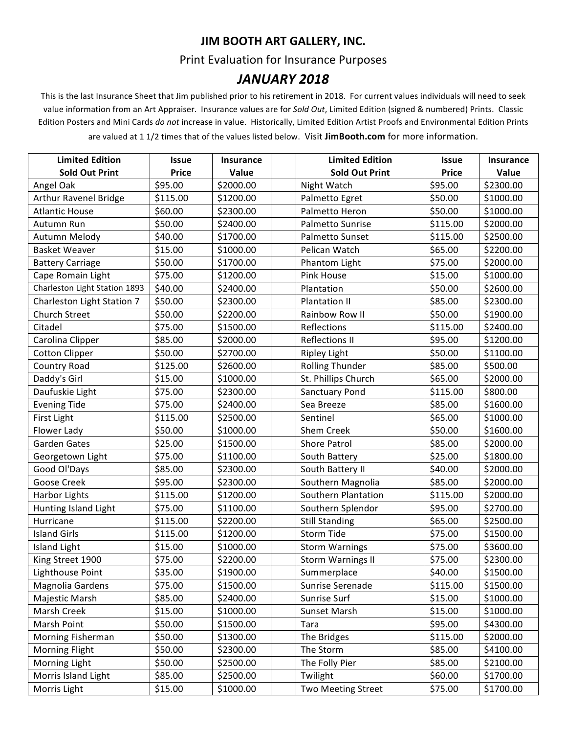## **JIM BOOTH ART GALLERY, INC.**

## Print Evaluation for Insurance Purposes

## *JANUARY 2018*

This is the last Insurance Sheet that Jim published prior to his retirement in 2018. For current values individuals will need to seek value information from an Art Appraiser. Insurance values are for *Sold Out*, Limited Edition (signed & numbered) Prints. Classic Edition Posters and Mini Cards do not increase in value. Historically, Limited Edition Artist Proofs and Environmental Edition Prints

are valued at 1 1/2 times that of the values listed below. Visit JimBooth.com for more information.

| <b>Limited Edition</b>        | <b>Issue</b> | <b>Insurance</b> | <b>Limited Edition</b>   | <b>Issue</b> | <b>Insurance</b> |
|-------------------------------|--------------|------------------|--------------------------|--------------|------------------|
| <b>Sold Out Print</b>         | <b>Price</b> | Value            | <b>Sold Out Print</b>    | <b>Price</b> | Value            |
| Angel Oak                     | \$95.00      | \$2000.00        | Night Watch              | \$95.00      | \$2300.00        |
| Arthur Ravenel Bridge         | \$115.00     | \$1200.00        | Palmetto Egret           | \$50.00      | \$1000.00        |
| <b>Atlantic House</b>         | \$60.00      | \$2300.00        | Palmetto Heron           | \$50.00      | \$1000.00        |
| Autumn Run                    | \$50.00      | \$2400.00        | Palmetto Sunrise         | \$115.00     | \$2000.00        |
| Autumn Melody                 | \$40.00      | \$1700.00        | Palmetto Sunset          | \$115.00     | \$2500.00        |
| <b>Basket Weaver</b>          | \$15.00      | \$1000.00        | Pelican Watch            | \$65.00      | \$2200.00        |
| <b>Battery Carriage</b>       | \$50.00      | \$1700.00        | Phantom Light            | \$75.00      | \$2000.00        |
| Cape Romain Light             | \$75.00      | \$1200.00        | Pink House               | \$15.00      | \$1000.00        |
| Charleston Light Station 1893 | \$40.00      | \$2400.00        | Plantation               | \$50.00      | \$2600.00        |
| Charleston Light Station 7    | \$50.00      | \$2300.00        | Plantation II            | \$85.00      | \$2300.00        |
| Church Street                 | \$50.00      | \$2200.00        | Rainbow Row II           | \$50.00      | \$1900.00        |
| Citadel                       | \$75.00      | \$1500.00        | Reflections              | \$115.00     | \$2400.00        |
| Carolina Clipper              | \$85.00      | \$2000.00        | <b>Reflections II</b>    | \$95.00      | \$1200.00        |
| <b>Cotton Clipper</b>         | \$50.00      | \$2700.00        | <b>Ripley Light</b>      | \$50.00      | \$1100.00        |
| Country Road                  | \$125.00     | \$2600.00        | <b>Rolling Thunder</b>   | \$85.00      | \$500.00         |
| Daddy's Girl                  | \$15.00      | \$1000.00        | St. Phillips Church      | \$65.00      | \$2000.00        |
| Daufuskie Light               | \$75.00      | \$2300.00        | <b>Sanctuary Pond</b>    | \$115.00     | \$800.00         |
| <b>Evening Tide</b>           | \$75.00      | \$2400.00        | Sea Breeze               | \$85.00      | \$1600.00        |
| First Light                   | \$115.00     | \$2500.00        | Sentinel                 | \$65.00      | \$1000.00        |
| Flower Lady                   | \$50.00      | \$1000.00        | Shem Creek               | \$50.00      | \$1600.00        |
| Garden Gates                  | \$25.00      | \$1500.00        | <b>Shore Patrol</b>      | \$85.00      | \$2000.00        |
| Georgetown Light              | \$75.00      | \$1100.00        | South Battery            | \$25.00      | \$1800.00        |
| Good Ol'Days                  | \$85.00      | \$2300.00        | South Battery II         | \$40.00      | \$2000.00        |
| Goose Creek                   | \$95.00      | \$2300.00        | Southern Magnolia        | \$85.00      | \$2000.00        |
| Harbor Lights                 | \$115.00     | \$1200.00        | Southern Plantation      | \$115.00     | \$2000.00        |
| Hunting Island Light          | \$75.00      | \$1100.00        | Southern Splendor        | \$95.00      | \$2700.00        |
| Hurricane                     | \$115.00     | \$2200.00        | <b>Still Standing</b>    | \$65.00      | \$2500.00        |
| <b>Island Girls</b>           | \$115.00     | \$1200.00        | Storm Tide               | \$75.00      | \$1500.00        |
| <b>Island Light</b>           | \$15.00      | \$1000.00        | <b>Storm Warnings</b>    | \$75.00      | \$3600.00        |
| King Street 1900              | \$75.00      | \$2200.00        | <b>Storm Warnings II</b> | \$75.00      | \$2300.00        |
| Lighthouse Point              | \$35.00      | \$1900.00        | Summerplace              | \$40.00      | \$1500.00        |
| Magnolia Gardens              | \$75.00      | \$1500.00        | Sunrise Serenade         | \$115.00     | \$1500.00        |
| Majestic Marsh                | \$85.00      | \$2400.00        | Sunrise Surf             | \$15.00      | \$1000.00        |
| Marsh Creek                   | \$15.00      | \$1000.00        | Sunset Marsh             | \$15.00      | \$1000.00        |
| Marsh Point                   | \$50.00      | \$1500.00        | Tara                     | \$95.00      | \$4300.00        |
| Morning Fisherman             | \$50.00      | \$1300.00        | The Bridges              | \$115.00     | \$2000.00        |
| Morning Flight                | \$50.00      | \$2300.00        | The Storm                | \$85.00      | \$4100.00        |
| Morning Light                 | \$50.00      | \$2500.00        | The Folly Pier           | \$85.00      | \$2100.00        |
| Morris Island Light           | \$85.00      | \$2500.00        | Twilight                 | \$60.00      | \$1700.00        |
| Morris Light                  | \$15.00      | \$1000.00        | Two Meeting Street       | \$75.00      | \$1700.00        |